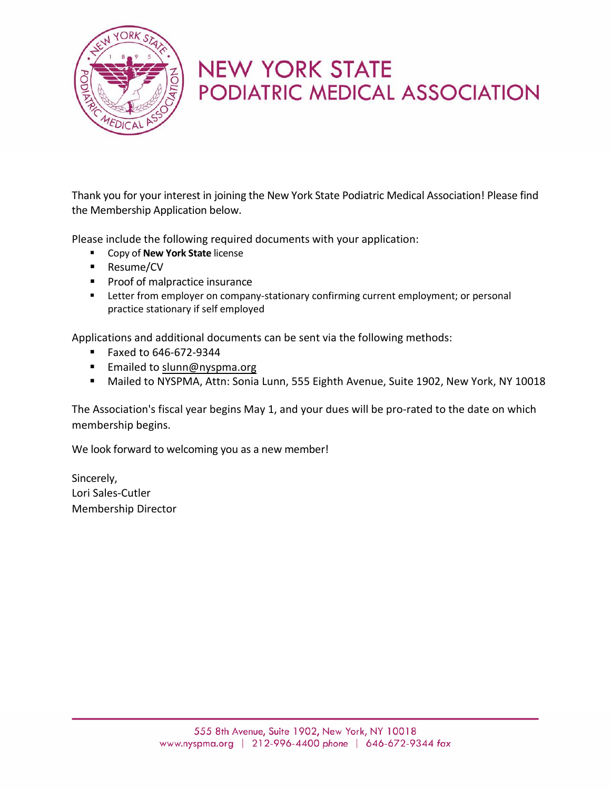

# **NEW YORK STATE** PODIATRIC MEDICAL ASSOCIATION

Thank you for your interest in joining the New York State Podiatric Medical Association! Please find the Membership Application below.

Please include the following required documents with your application:

- **EXECOPY of New York State license**
- Resume/CV
- **Proof of malpractice insurance**
- **EXTER 1** Letter from employer on company-stationary confirming current employment; or personal practice stationary if self employed

Applications and additional documents can be sent via the following methods:

- Faxed to 646-672-9344
- **Emailed to [slunn@nyspma.org](mailto:nsaari@nyspma.org)**
- Mailed to NYSPMA, Attn: Sonia Lunn, 555 Eighth Avenue, Suite 1902, New York, NY 10018

The Association's fiscal year begins May 1, and your dues will be pro-rated to the date on which membership begins.

We look forward to welcoming you as a new member!

Sincerely, Lori Sales-Cutler Membership Director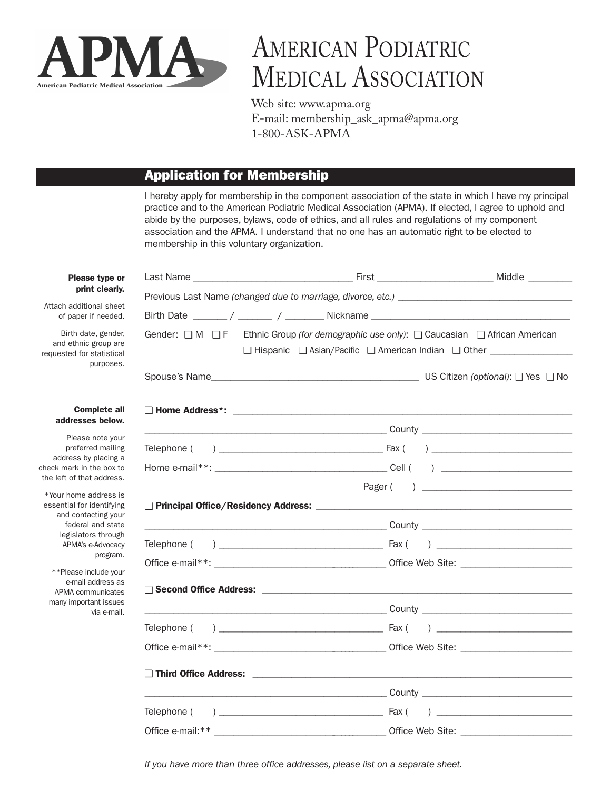

# AMERICAN PODIATRIC MEDICAL ASSOCIATION

Web site: www.apma.org E-mail: membership\_ask\_apma@apma.org 1-800-ASK-APMA

#### **Application for Membership**

I hereby apply for membership in the component association of the state in which I have my principal practice and to the American Podiatric Medical Association (APMA). If elected, I agree to uphold and abide by the purposes, bylaws, code of ethics, and all rules and regulations of my component association and the APMA. I understand that no one has an automatic right to be elected to membership in this voluntary organization.

| Gender: □ M □ F Ethnic Group (for demographic use only): □ Caucasian □ African American<br>□ Hispanic □ Asian/Pacific □ American Indian □ Other _______________ |  |
|-----------------------------------------------------------------------------------------------------------------------------------------------------------------|--|
|                                                                                                                                                                 |  |
|                                                                                                                                                                 |  |
|                                                                                                                                                                 |  |
|                                                                                                                                                                 |  |
|                                                                                                                                                                 |  |
|                                                                                                                                                                 |  |
|                                                                                                                                                                 |  |
|                                                                                                                                                                 |  |
|                                                                                                                                                                 |  |
|                                                                                                                                                                 |  |
|                                                                                                                                                                 |  |
|                                                                                                                                                                 |  |
|                                                                                                                                                                 |  |
|                                                                                                                                                                 |  |
|                                                                                                                                                                 |  |
|                                                                                                                                                                 |  |
|                                                                                                                                                                 |  |
|                                                                                                                                                                 |  |
|                                                                                                                                                                 |  |

**Please t** print c

Attach additional of paper if n

Birth date, and ethnic gro requested for sta pur

#### **Comple** addresses

Please no preferred address by pla check mark in the the left of that ad

\*Your home add essential for ider and contacti federal and legislators th APMA's e-Ad pr

\*\*Please inclu e-mail addr APMA commu many important via

*If you have more than three office addresses, please list on a separate sheet.*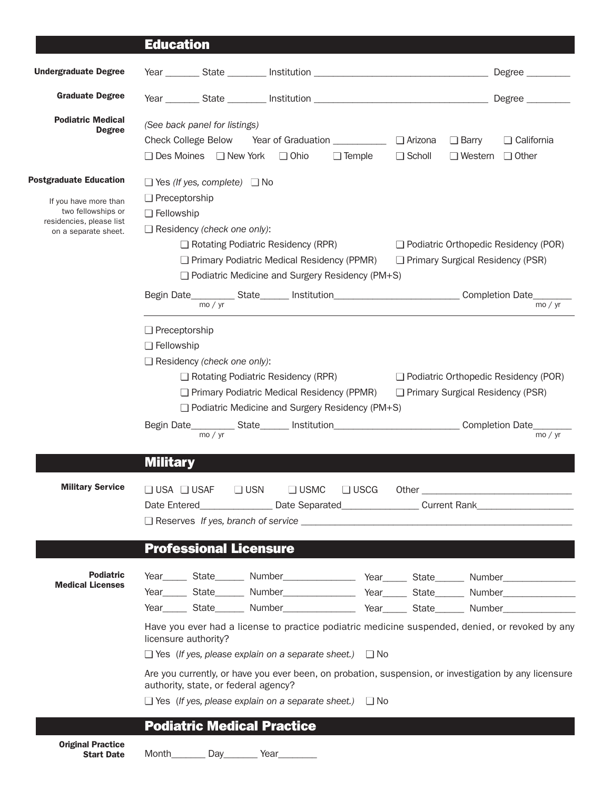## **Education**

| <b>Undergraduate Degree</b>                                                                                                      |                                                                                                                                                                                                                                                                                                                                                                                                                                                                                                                                                                                                                                                                                                                                                                                                                                              |               |               |                                             |                                             |
|----------------------------------------------------------------------------------------------------------------------------------|----------------------------------------------------------------------------------------------------------------------------------------------------------------------------------------------------------------------------------------------------------------------------------------------------------------------------------------------------------------------------------------------------------------------------------------------------------------------------------------------------------------------------------------------------------------------------------------------------------------------------------------------------------------------------------------------------------------------------------------------------------------------------------------------------------------------------------------------|---------------|---------------|---------------------------------------------|---------------------------------------------|
| <b>Graduate Degree</b>                                                                                                           |                                                                                                                                                                                                                                                                                                                                                                                                                                                                                                                                                                                                                                                                                                                                                                                                                                              |               |               |                                             |                                             |
| <b>Podiatric Medical</b><br><b>Degree</b>                                                                                        | (See back panel for listings)<br><b>Check College Below</b><br>$\Box$ Ohio<br>$\Box$ Des Moines $\Box$ New York                                                                                                                                                                                                                                                                                                                                                                                                                                                                                                                                                                                                                                                                                                                              | $\Box$ Temple | $\Box$ Scholl | $\Box$ Barry<br>$\Box$ Western $\Box$ Other | $\Box$ California                           |
| <b>Postgraduate Education</b><br>If you have more than<br>two fellowships or<br>residencies, please list<br>on a separate sheet. | $\Box$ Yes (If yes, complete) $\Box$ No<br>$\Box$ Preceptorship<br>$\Box$ Fellowship<br>$\Box$ Residency (check one only):<br>$\Box$ Rotating Podiatric Residency (RPR)<br>$\Box$ Primary Podiatric Medical Residency (PPMR)<br>$\Box$ Podiatric Medicine and Surgery Residency (PM+S)                                                                                                                                                                                                                                                                                                                                                                                                                                                                                                                                                       |               |               | $\Box$ Primary Surgical Residency (PSR)     | $\Box$ Podiatric Orthopedic Residency (POR) |
|                                                                                                                                  |                                                                                                                                                                                                                                                                                                                                                                                                                                                                                                                                                                                                                                                                                                                                                                                                                                              |               |               |                                             |                                             |
|                                                                                                                                  | $\Box$ Preceptorship<br>$\Box$ Fellowship<br>$\Box$ Residency (check one only):<br>$\Box$ Rotating Podiatric Residency (RPR)<br>□ Primary Podiatric Medical Residency (PPMR)<br>$\Box$ Podiatric Medicine and Surgery Residency (PM+S)                                                                                                                                                                                                                                                                                                                                                                                                                                                                                                                                                                                                       |               |               | $\Box$ Primary Surgical Residency (PSR)     | Podiatric Orthopedic Residency (POR)        |
|                                                                                                                                  | <b>Military</b>                                                                                                                                                                                                                                                                                                                                                                                                                                                                                                                                                                                                                                                                                                                                                                                                                              |               |               |                                             |                                             |
| <b>Military Service</b>                                                                                                          | $\Box$ USN<br>$\Box$ USMC<br>$\Box$ USA $\Box$ USAF<br>Date Entered___________________Date Separated___________________Current Rank________________________<br>$\Box$ Reserves If yes, branch of service $\Box$ and $\Box$ and $\Box$ and $\Box$ and $\Box$ and $\Box$ and $\Box$ and $\Box$ and $\Box$ and $\Box$ and $\Box$ and $\Box$ and $\Box$ and $\Box$ and $\Box$ and $\Box$ and $\Box$ and $\Box$ and $\Box$ and $\Box$ and                                                                                                                                                                                                                                                                                                                                                                                                         | $\Box$ USCG   |               |                                             |                                             |
| <b>Podiatric</b><br><b>Medical Licenses</b>                                                                                      | <b>Professional Licensure</b><br>Year_______ State________ Number_______________________ Year_______ State________ Number_____________________<br>Year Mumber Mumber Mumber Mumber Mumber Mumber Mumber Mumber Mumber Mumber Mumber Mumber Mumber Mumber Mumber Mumber Mumber Mumber Mumber Mumber Mumber Mumber Mumber Mumber Mumber Mumber Mumber Mumber Mumber Mumber Mumber<br>Have you ever had a license to practice podiatric medicine suspended, denied, or revoked by any<br>licensure authority?<br>$\Box$ Yes (If yes, please explain on a separate sheet.) $\Box$ No<br>Are you currently, or have you ever been, on probation, suspension, or investigation by any licensure<br>authority, state, or federal agency?<br>$\Box$ Yes (If yes, please explain on a separate sheet.) $\Box$ No<br><b>Podiatric Medical Practice</b> |               |               |                                             |                                             |
| <b>Original Practice</b><br><b>Start Date</b>                                                                                    | Month Day Year                                                                                                                                                                                                                                                                                                                                                                                                                                                                                                                                                                                                                                                                                                                                                                                                                               |               |               |                                             |                                             |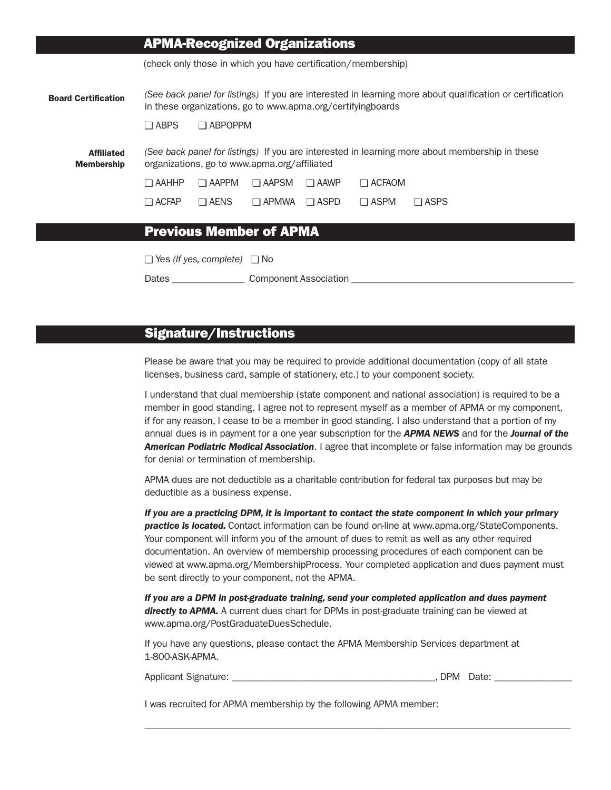|                                        |                |                                         | <b>APMA-Recognized Organizations</b>                        |             |                                                               |                                                                                                           |
|----------------------------------------|----------------|-----------------------------------------|-------------------------------------------------------------|-------------|---------------------------------------------------------------|-----------------------------------------------------------------------------------------------------------|
|                                        |                |                                         |                                                             |             | (check only those in which you have certification/membership) |                                                                                                           |
| <b>Board Certification</b>             |                |                                         | in these organizations, go to www.apma.org/certifyingboards |             |                                                               | (See back panel for listings) If you are interested in learning more about qualification or certification |
|                                        | $\square$ ABPS | $\Box$ ABPOPPM                          |                                                             |             |                                                               |                                                                                                           |
| <b>Affiliated</b><br><b>Membership</b> |                |                                         | organizations, go to www.apma.org/affiliated                |             |                                                               | (See back panel for listings) If you are interested in learning more about membership in these            |
|                                        | ⊐ ААННР        | $\Box$ AAPPM                            | $\Box$ AAPSM                                                | $\Box$ AAWP | $\Box$ ACFAOM                                                 |                                                                                                           |
|                                        | $\Box$ ACFAP   | $\Box$ AENS                             | $\Box$ APMWA                                                | $\Box$ ASPD | $\Box$ ASPM                                                   | $\square$ ASPS                                                                                            |
|                                        |                |                                         |                                                             |             |                                                               |                                                                                                           |
|                                        |                |                                         | <b>Previous Member of APMA</b>                              |             |                                                               |                                                                                                           |
|                                        |                | $\Box$ Yes (If yes, complete) $\Box$ No |                                                             |             |                                                               |                                                                                                           |
|                                        | Dates          |                                         | Component Association                                       |             |                                                               |                                                                                                           |

#### **Signature/Instructions**

Please be aware that you may be required to provide additional documentation (copy of all state licenses, business card, sample of stationery, etc.) to your component society.

I understand that dual membership (state component and national association) is required to be a member in good standing. I agree not to represent myself as a member of APMA or my component, if for any reason, I cease to be a member in good standing. I also understand that a portion of my annual dues is in payment for a one year subscription for the *APMA NEWS* and for the *Journal of the American Podiatric Medical Association*. I agree that incomplete or false information may be grounds for denial or termination of membership.

APMA dues are not deductible as a charitable contribution for federal tax purposes but may be deductible as a business expense.

*If you are a practicing DPM, it is important to contact the state component in which your primary practice is located.* Contact information can be found on-line at www.apma.org/StateComponents. Your component will inform you of the amount of dues to remit as well as any other required documentation. An overview of membership processing procedures of each component can be viewed at www.apma.org/MembershipProcess. Your completed application and dues payment must be sent directly to your component, not the APMA.

*If you are a DPM in post-graduate training, send your completed application and dues payment* directly to APMA. A current dues chart for DPMs in post-graduate training can be viewed at www.apma.org/PostGraduateDuesSchedule.

If you have any questions, please contact the APMA Membership Services department at 1-800-ASK-APMA.

Applicant Signature: \_\_\_\_\_\_\_\_\_\_\_\_\_\_\_\_\_\_\_\_\_\_\_\_\_\_\_\_\_\_\_\_\_\_\_\_\_\_\_\_\_\_, DPM Date: \_\_\_\_\_\_\_\_\_\_\_\_\_\_\_\_

\_\_\_\_\_\_\_\_\_\_\_\_\_\_\_\_\_\_\_\_\_\_\_\_\_\_\_\_\_\_\_\_\_\_\_\_\_\_\_\_\_\_\_\_\_\_\_\_\_\_\_\_\_\_\_\_\_\_\_\_\_\_\_\_\_\_\_\_\_\_\_\_\_\_\_\_\_\_\_\_\_\_\_\_\_\_\_\_

I was recruited for APMA membership by the following APMA member: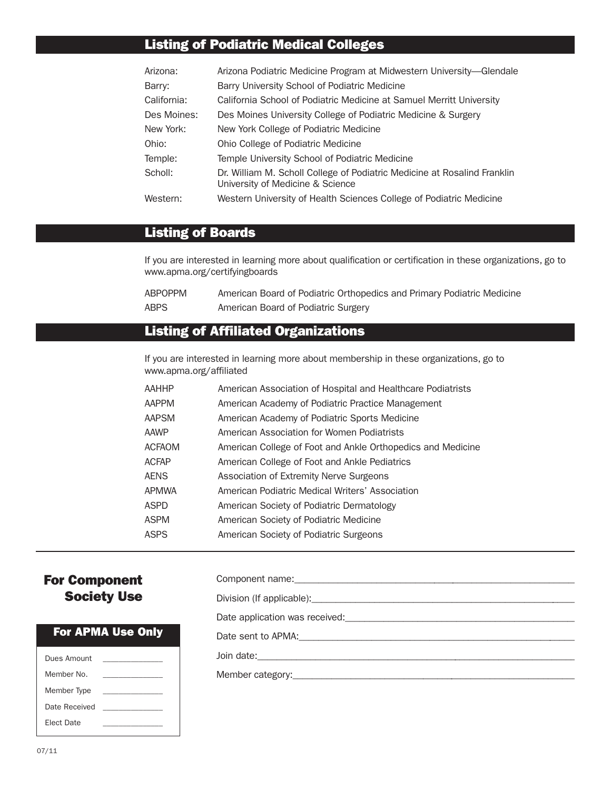### **Listing of Podiatric Medical Colleges**

| Arizona:    | Arizona Podiatric Medicine Program at Midwestern University-Glendale                                         |
|-------------|--------------------------------------------------------------------------------------------------------------|
| Barry:      | Barry University School of Podiatric Medicine                                                                |
| California: | California School of Podiatric Medicine at Samuel Merritt University                                         |
| Des Moines: | Des Moines University College of Podiatric Medicine & Surgery                                                |
| New York:   | New York College of Podiatric Medicine                                                                       |
| Ohio:       | Ohio College of Podiatric Medicine                                                                           |
| Temple:     | Temple University School of Podiatric Medicine                                                               |
| Scholl:     | Dr. William M. Scholl College of Podiatric Medicine at Rosalind Franklin<br>University of Medicine & Science |
| Western:    | Western University of Health Sciences College of Podiatric Medicine                                          |

#### **Listing of Boards**

If you are interested in learning more about qualification or certification in these organizations, go to www.apma.org/certifyingboards

| ABPOPPM | American Board of Podiatric Orthopedics and Primary Podiatric Medicine |
|---------|------------------------------------------------------------------------|
| ABPS    | American Board of Podiatric Surgery                                    |

### **Listing of Affiliated Organizations**

If you are interested in learning more about membership in these organizations, go to www.apma.org/affiliated

| ААННР  | American Association of Hospital and Healthcare Podiatrists |
|--------|-------------------------------------------------------------|
| AAPPM  | American Academy of Podiatric Practice Management           |
| AAPSM  | American Academy of Podiatric Sports Medicine               |
| AAWP   | American Association for Women Podiatrists                  |
| ACFAOM | American College of Foot and Ankle Orthopedics and Medicine |
| ACFAP  | American College of Foot and Ankle Pediatrics               |
| AENS   | Association of Extremity Nerve Surgeons                     |
| APMWA  | American Podiatric Medical Writers' Association             |
| ASPD   | American Society of Podiatric Dermatology                   |
| ASPM   | American Society of Podiatric Medicine                      |
| ASPS   | American Society of Podiatric Surgeons                      |
|        |                                                             |

#### **For Component Society Use**

#### **For APMA Use Only**

| Dues Amount       |  |
|-------------------|--|
| Member No.        |  |
| Member Type       |  |
| Date Received     |  |
| <b>Flect Date</b> |  |
|                   |  |

| Date application was received: Date application was received:        |
|----------------------------------------------------------------------|
| Date sent to APMA: <u>contract and a series of the sent to APMA:</u> |
|                                                                      |
|                                                                      |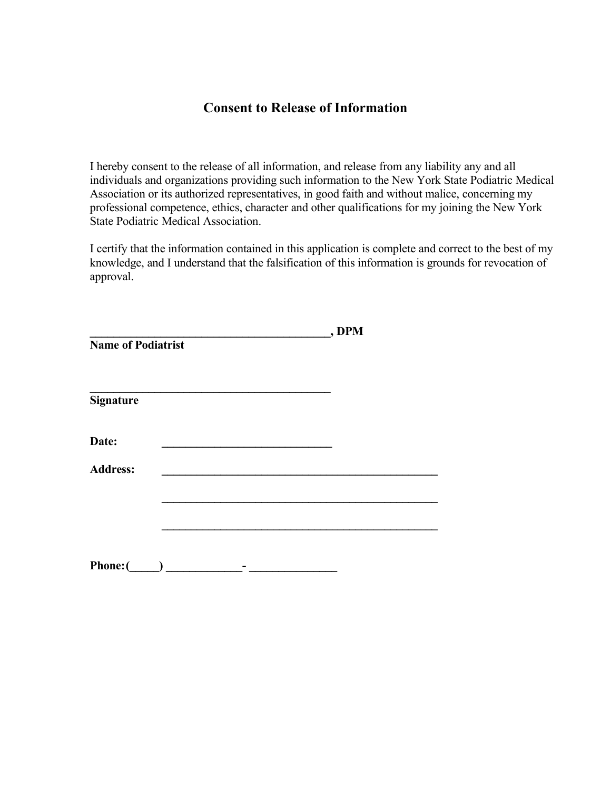#### **Consent to Release of Information**

I hereby consent to the release of all information, and release from any liability any and all individuals and organizations providing such information to the New York State Podiatric Medical Association or its authorized representatives, in good faith and without malice, concerning my professional competence, ethics, character and other qualifications for my joining the New York State Podiatric Medical Association.

I certify that the information contained in this application is complete and correct to the best of my knowledge, and I understand that the falsification of this information is grounds for revocation of approval.

|                           | , DPM |
|---------------------------|-------|
| <b>Name of Podiatrist</b> |       |
| <b>Signature</b>          |       |
|                           |       |
| Date:                     |       |
| <b>Address:</b>           |       |
|                           |       |
|                           |       |
|                           |       |
| <b>Phone:</b> (           |       |